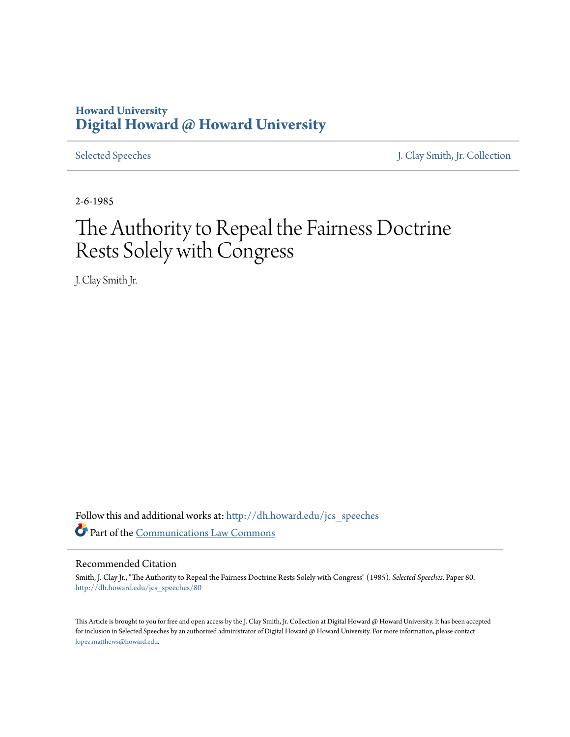## **Howard University [Digital Howard @ Howard University](http://dh.howard.edu?utm_source=dh.howard.edu%2Fjcs_speeches%2F80&utm_medium=PDF&utm_campaign=PDFCoverPages)**

[Selected Speeches](http://dh.howard.edu/jcs_speeches?utm_source=dh.howard.edu%2Fjcs_speeches%2F80&utm_medium=PDF&utm_campaign=PDFCoverPages) [J. Clay Smith, Jr. Collection](http://dh.howard.edu/jcsmith?utm_source=dh.howard.edu%2Fjcs_speeches%2F80&utm_medium=PDF&utm_campaign=PDFCoverPages)

2-6-1985

## The Authority to Repeal the Fairness Doctrine Rests Solely with Congress

J. Clay Smith Jr.

Follow this and additional works at: [http://dh.howard.edu/jcs\\_speeches](http://dh.howard.edu/jcs_speeches?utm_source=dh.howard.edu%2Fjcs_speeches%2F80&utm_medium=PDF&utm_campaign=PDFCoverPages) Part of the [Communications Law Commons](http://network.bepress.com/hgg/discipline/587?utm_source=dh.howard.edu%2Fjcs_speeches%2F80&utm_medium=PDF&utm_campaign=PDFCoverPages)

## Recommended Citation

Smith, J. Clay Jr., "The Authority to Repeal the Fairness Doctrine Rests Solely with Congress" (1985). *Selected Speeches.* Paper 80. [http://dh.howard.edu/jcs\\_speeches/80](http://dh.howard.edu/jcs_speeches/80?utm_source=dh.howard.edu%2Fjcs_speeches%2F80&utm_medium=PDF&utm_campaign=PDFCoverPages)

This Article is brought to you for free and open access by the J. Clay Smith, Jr. Collection at Digital Howard @ Howard University. It has been accepted for inclusion in Selected Speeches by an authorized administrator of Digital Howard @ Howard University. For more information, please contact [lopez.matthews@howard.edu.](mailto:lopez.matthews@howard.edu)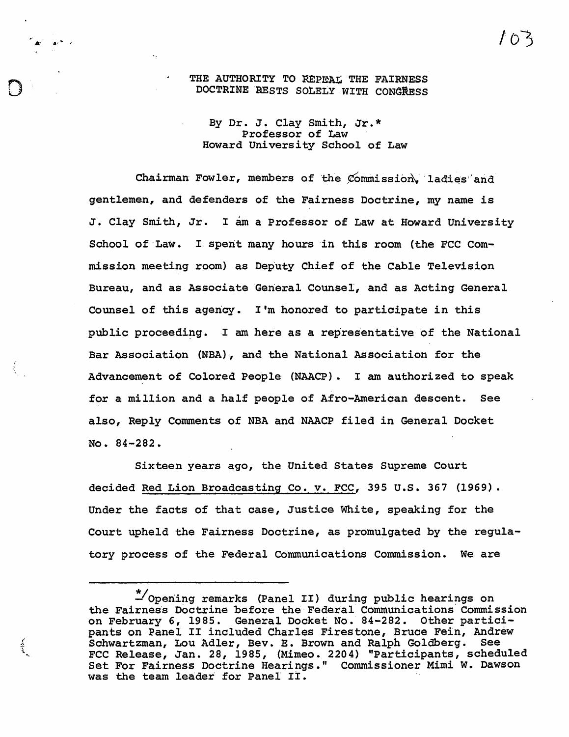## THE AUTHORITY TO REPEAL THE FAIRNESS<br>DOCTRINE RESTS SOLELY WITH CONGRESS

 $\mathbf{A}^{\dagger}$   $\mathbf{A}^{\dagger}$   $\mathbf{A}^{\dagger}$ 

 $\frac{1}{2}$ 

By Dr. J. Clay Smith, Jr.\* Professor of Law Howard University School of Law

Chairman Fowler, members of the Commission. ladies and gentlemen, and defenders of the Fairness Doctrine, my name is J. Clay Smith, Jr. I am a Professor of Law at Howard University School of Law. I spent many hours in this room (the FCC Commission meeting room) as Deputy Chief of the Cable Television Bureau, and as Associate General Counsel, and as Acting General Counsel of this agency. I'm honored to participate in this public proceeding. I am here as a representative of the National Bar Association (NBA), and the National Association for the Advancement of Colored People (NAACP). I am authorized to speak for a million and a half people of Afro-American descent. See also, Reply Comments of NBA and NAACP filed in General Docket No. 84-282.

Sixteen years ago, the United States Supreme Court decided Red Lion Broadcasting Co. v. FCC, 395 u.S. 367 (1969). Under the facts of that case, Justice White, speaking for the Court upheld the Fairness Doctrine, as promulgated by the regulatory process of the Federal Communications Commission. We are

<sup>\*/</sup>opening remarks (Panel II) during public hearings on the Fairness Doctrine before the Federal Communications Commission on February 6, 1985. General Docket No. 84-282. Other participants on Panel II included Charles Firestone, Bruce Fein, Andrew Schwartzman, Lou Adler, Bev. E. Brown and Ralph Goldberg. See FCC Release, Jan. 28, 1985, (Mimeo. 2204) "participants, scheduled Set For Fairness Doctrine Hearings." Commissioner Mimi W. Dawson was the team leader for Panel II.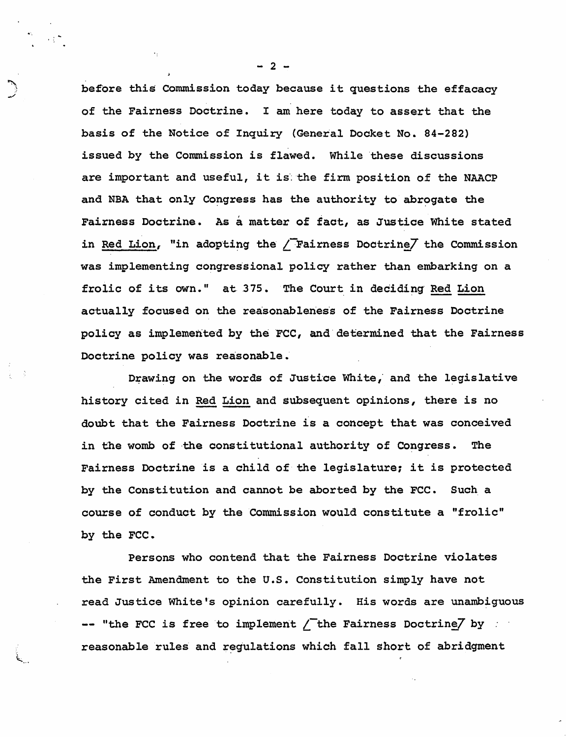before this Commission today because it questions the effacacy of the Fairness Doctrine. I am here today to assert that the basis of the Notice of Inquiry (General Docket No. 84-282) issued by the Commission is flawed. While these discussions are important and useful, it is the firm position of the NAACP and NBA that only Congress has the authority to abrogate the Fairness Doctrine. As a matter of fact, as Justice White stated in Red Lion, "in adopting the / $\overline{r}$  Fairness Doctrine/ the Commission was implementing congressional policy rather than embarking on a frolic of its own." at 375. The Court in deciding Red Lion actually focused on the reasonableness of the Fairness Doctrine policy as implemented by the FCC, and determined that the Fairness Doctrine policy was reasonable.'

Drawing on the words of Justice White, and the legislative history cited in Red Lion and subsequent opinions, there is no doubt that the Fairness Doctrine is a concept that was conceived in the womb of the constitutional authority of Congress. The Fairness Doctrine is a child of the legislature; it is protected by the Constitution and cannot be aborted by the FCC. Such a course of conduct by the Commission would constitute a "frolic" by the FCC.

Persons who contend that the Fairness Doctrine violates the First Amendment to the U.S. Constitution simply have not read Justice White's opinion carefully. His words are unambiguous  $--$  "the FCC is free to implement  $\angle$  the Fairness Doctrine/ by reasonable rules and regulations which fall short of abridgment

 $- 2 -$